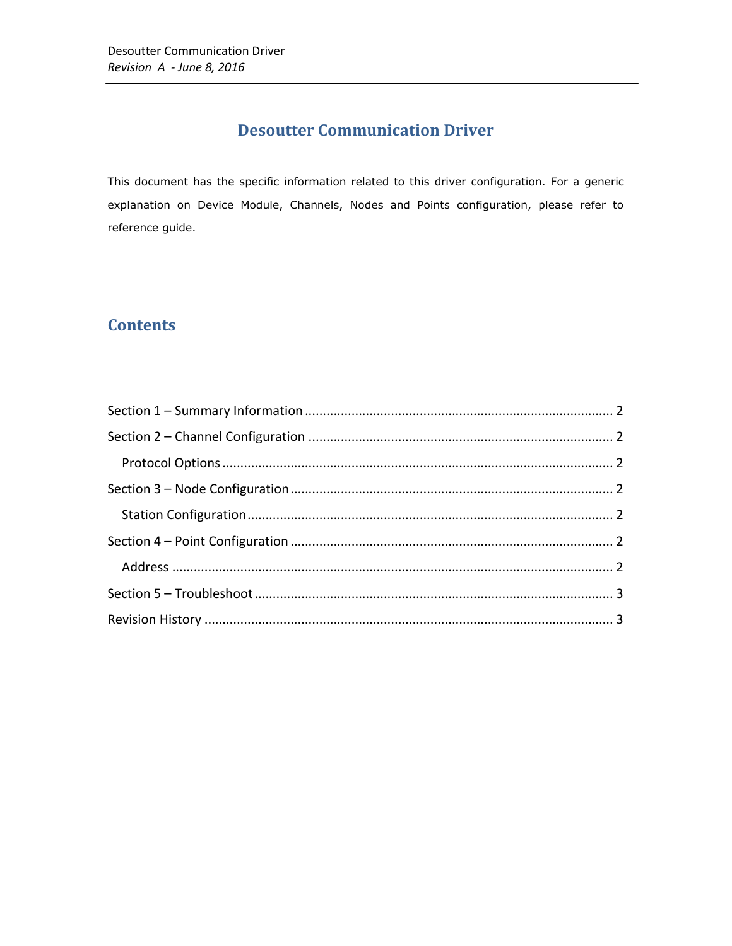# **Desoutter Communication Driver**

This document has the specific information related to this driver configuration. For a generic explanation on Device Module, Channels, Nodes and Points configuration, please refer to reference guide.

# **Contents**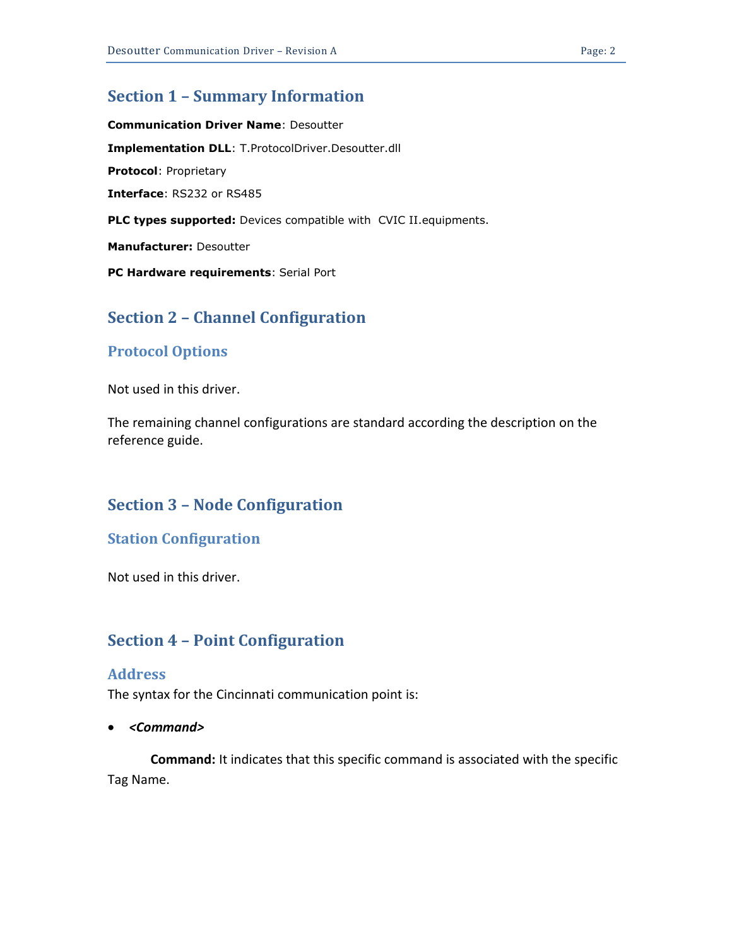### <span id="page-1-0"></span>**Section 1 – Summary Information**

**Communication Driver Name**: Desoutter **Implementation DLL**: T.ProtocolDriver.Desoutter.dll **Protocol**: Proprietary **Interface**: RS232 or RS485 **PLC types supported:** Devices compatible with CVIC II.equipments. **Manufacturer:** Desoutter **PC Hardware requirements**: Serial Port

## <span id="page-1-1"></span>**Section 2 – Channel Configuration**

### <span id="page-1-2"></span>**Protocol Options**

Not used in this driver.

The remaining channel configurations are standard according the description on the reference guide.

### <span id="page-1-3"></span>**Section 3 – Node Configuration**

#### <span id="page-1-4"></span>**Station Configuration**

Not used in this driver.

### <span id="page-1-5"></span>**Section 4 – Point Configuration**

#### <span id="page-1-6"></span>**Address**

The syntax for the Cincinnati communication point is:

*<Command>*

**Command:** It indicates that this specific command is associated with the specific Tag Name.